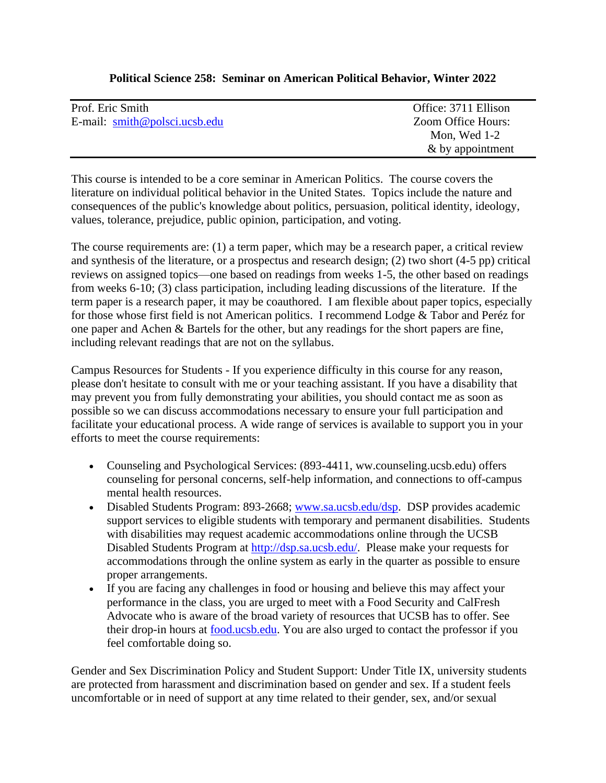# **Political Science 258: Seminar on American Political Behavior, Winter 2022**

| Prof. Eric Smith                                        | Office: 3711 Ellison |
|---------------------------------------------------------|----------------------|
| E-mail: $\text{smith}\ \textcircled{p}$ polsci.ucsb.edu | Zoom Office Hours:   |
|                                                         | Mon, Wed $1-2$       |
|                                                         | & by appointment     |

This course is intended to be a core seminar in American Politics. The course covers the literature on individual political behavior in the United States. Topics include the nature and consequences of the public's knowledge about politics, persuasion, political identity, ideology, values, tolerance, prejudice, public opinion, participation, and voting.

The course requirements are: (1) a term paper, which may be a research paper, a critical review and synthesis of the literature, or a prospectus and research design; (2) two short (4-5 pp) critical reviews on assigned topics—one based on readings from weeks 1-5, the other based on readings from weeks 6-10; (3) class participation, including leading discussions of the literature. If the term paper is a research paper, it may be coauthored. I am flexible about paper topics, especially for those whose first field is not American politics. I recommend Lodge & Tabor and Peréz for one paper and Achen & Bartels for the other, but any readings for the short papers are fine, including relevant readings that are not on the syllabus.

Campus Resources for Students - If you experience difficulty in this course for any reason, please don't hesitate to consult with me or your teaching assistant. If you have a disability that may prevent you from fully demonstrating your abilities, you should contact me as soon as possible so we can discuss accommodations necessary to ensure your full participation and facilitate your educational process. A wide range of services is available to support you in your efforts to meet the course requirements:

- Counseling and Psychological Services: (893-4411, ww.counseling.ucsb.edu) offers counseling for personal concerns, self-help information, and connections to off-campus mental health resources.
- Disabled Students Program: 893-2668; [www.sa.ucsb.edu/dsp.](http://www.sa.ucsb.edu/dsp) DSP provides academic support services to eligible students with temporary and permanent disabilities. Students with disabilities may request academic accommodations online through the UCSB Disabled Students Program at [http://dsp.sa.ucsb.edu/.](http://dsp.sa.ucsb.edu/) Please make your requests for accommodations through the online system as early in the quarter as possible to ensure proper arrangements.
- If you are facing any challenges in food or housing and believe this may affect your performance in the class, you are urged to meet with a Food Security and CalFresh Advocate who is aware of the broad variety of resources that UCSB has to offer. See their drop-in hours at [food.ucsb.edu.](http://food.ucsb.edu/) You are also urged to contact the professor if you feel comfortable doing so.

Gender and Sex Discrimination Policy and Student Support: Under Title IX, university students are protected from harassment and discrimination based on gender and sex. If a student feels uncomfortable or in need of support at any time related to their gender, sex, and/or sexual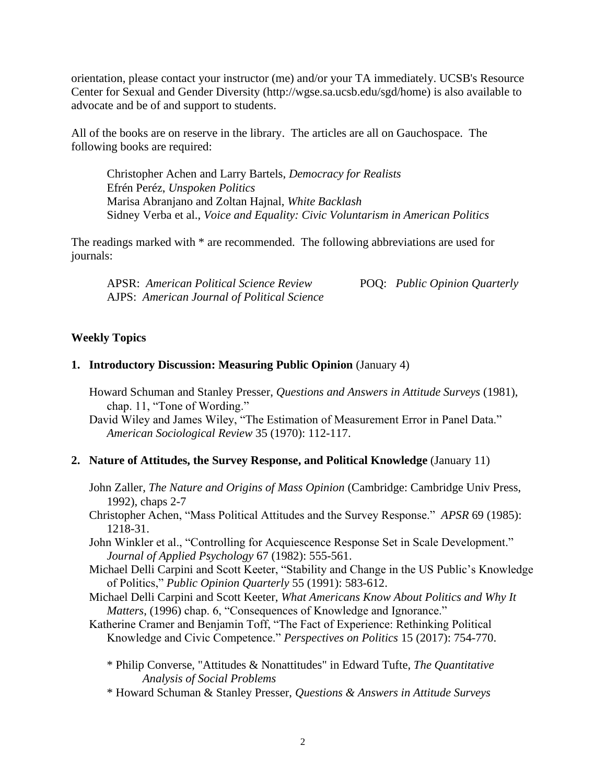orientation, please contact your instructor (me) and/or your TA immediately. UCSB's Resource Center for Sexual and Gender Diversity (http://wgse.sa.ucsb.edu/sgd/home) is also available to advocate and be of and support to students.

All of the books are on reserve in the library. The articles are all on Gauchospace. The following books are required:

Christopher Achen and Larry Bartels, *Democracy for Realists* Efrén Peréz, *Unspoken Politics* Marisa Abranjano and Zoltan Hajnal, *White Backlash* Sidney Verba et al., *Voice and Equality: Civic Voluntarism in American Politics*

The readings marked with \* are recommended. The following abbreviations are used for journals:

APSR: *American Political Science Review* POQ: *Public Opinion Quarterly* AJPS: *American Journal of Political Science*

#### **Weekly Topics**

#### **1. Introductory Discussion: Measuring Public Opinion** (January 4)

Howard Schuman and Stanley Presser, *Questions and Answers in Attitude Surveys* (1981), chap. 11, "Tone of Wording."

David Wiley and James Wiley, "The Estimation of Measurement Error in Panel Data." *American Sociological Review* 35 (1970): 112-117.

#### **2. Nature of Attitudes, the Survey Response, and Political Knowledge** (January 11)

John Zaller, *The Nature and Origins of Mass Opinion* (Cambridge: Cambridge Univ Press, 1992), chaps 2-7

Christopher Achen, "Mass Political Attitudes and the Survey Response." *APSR* 69 (1985): 1218-31.

John Winkler et al., "Controlling for Acquiescence Response Set in Scale Development." *Journal of Applied Psychology* 67 (1982): 555-561.

- Michael Delli Carpini and Scott Keeter, "Stability and Change in the US Public's Knowledge of Politics," *Public Opinion Quarterly* 55 (1991): 583-612.
- Michael Delli Carpini and Scott Keeter, *What Americans Know About Politics and Why It Matters*, (1996) chap. 6, "Consequences of Knowledge and Ignorance."

Katherine Cramer and Benjamin Toff, "The Fact of Experience: Rethinking Political Knowledge and Civic Competence." *Perspectives on Politics* 15 (2017): 754-770.

- \* Philip Converse, "Attitudes & Nonattitudes" in Edward Tufte, *The Quantitative Analysis of Social Problems*
- \* Howard Schuman & Stanley Presser, *Questions & Answers in Attitude Surveys*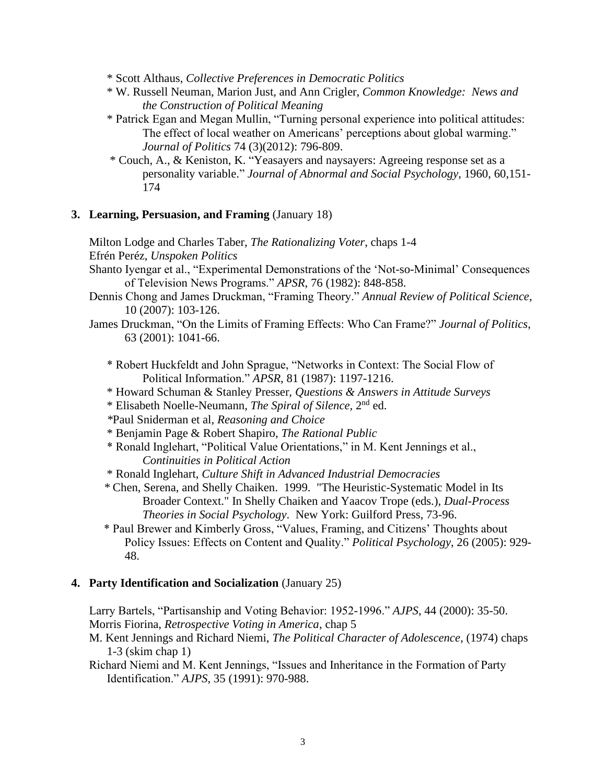- \* Scott Althaus, *Collective Preferences in Democratic Politics*
- \* W. Russell Neuman, Marion Just, and Ann Crigler, *Common Knowledge: News and the Construction of Political Meaning*
- \* Patrick Egan and Megan Mullin, "Turning personal experience into political attitudes: The effect of local weather on Americans' perceptions about global warming." *Journal of Politics* 74 (3)(2012): 796-809.
- \* Couch, A., & Keniston, K. "Yeasayers and naysayers: Agreeing response set as a personality variable." *Journal of Abnormal and Social Psychology*, 1960, 60,151- 174

### **3. Learning, Persuasion, and Framing** (January 18)

Milton Lodge and Charles Taber, *The Rationalizing Voter*, chaps 1-4 Efrén Peréz, *Unspoken Politics*

- Shanto Iyengar et al., "Experimental Demonstrations of the 'Not-so-Minimal' Consequences of Television News Programs." *APSR*, 76 (1982): 848-858.
- Dennis Chong and James Druckman, "Framing Theory." *Annual Review of Political Science*, 10 (2007): 103-126.
- James Druckman, "On the Limits of Framing Effects: Who Can Frame?" *Journal of Politics*, 63 (2001): 1041-66.

\* Robert Huckfeldt and John Sprague, "Networks in Context: The Social Flow of Political Information." *APSR*, 81 (1987): 1197-1216.

- \* Howard Schuman & Stanley Presser, *Questions & Answers in Attitude Surveys*
- \* Elisabeth Noelle-Neumann, *The Spiral of Silence,* 2 nd ed.
- *\**Paul Sniderman et al, *Reasoning and Choice*
- \* Benjamin Page & Robert Shapiro, *The Rational Public*
- \* Ronald Inglehart, "Political Value Orientations," in M. Kent Jennings et al., *Continuities in Political Action*
- \* Ronald Inglehart, *Culture Shift in Advanced Industrial Democracies*
- *\** Chen, Serena, and Shelly Chaiken. 1999. "The Heuristic-Systematic Model in Its Broader Context." In Shelly Chaiken and Yaacov Trope (eds.), *Dual-Process Theories in Social Psychology*. New York: Guilford Press, 73-96.
- \* Paul Brewer and Kimberly Gross, "Values, Framing, and Citizens' Thoughts about Policy Issues: Effects on Content and Quality." *Political Psychology*, 26 (2005): 929- 48.

# **4. Party Identification and Socialization** (January 25)

 Larry Bartels, "Partisanship and Voting Behavior: 1952-1996." *AJPS*, 44 (2000): 35-50. Morris Fiorina, *Retrospective Voting in America*, chap 5

 M. Kent Jennings and Richard Niemi, *The Political Character of Adolescence*, (1974) chaps 1-3 (skim chap 1)

 Richard Niemi and M. Kent Jennings, "Issues and Inheritance in the Formation of Party Identification." *AJPS*, 35 (1991): 970-988.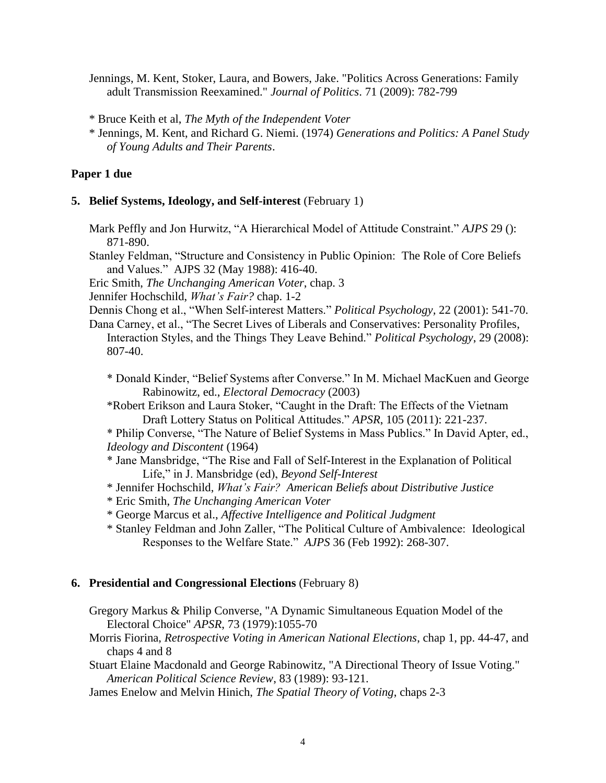Jennings, M. Kent, Stoker, Laura, and Bowers, Jake. "Politics Across Generations: Family adult Transmission Reexamined." *Journal of Politics*. 71 (2009): 782-799

\* Bruce Keith et al, *The Myth of the Independent Voter*

# **Paper 1 due**

# **5. Belief Systems, Ideology, and Self-interest** (February 1)

Mark Peffly and Jon Hurwitz, "A Hierarchical Model of Attitude Constraint." *AJPS* 29 (): 871-890.

Stanley Feldman, "Structure and Consistency in Public Opinion: The Role of Core Beliefs and Values." AJPS 32 (May 1988): 416-40.

Eric Smith, *The Unchanging American Voter*, chap. 3

Jennifer Hochschild, *What's Fair?* chap. 1-2

Dennis Chong et al., "When Self-interest Matters." *Political Psychology,* 22 (2001): 541-70.

 Dana Carney, et al., "The Secret Lives of Liberals and Conservatives: Personality Profiles, Interaction Styles, and the Things They Leave Behind." *Political Psychology*, 29 (2008): 807-40.

 \* Donald Kinder, "Belief Systems after Converse." In M. Michael MacKuen and George Rabinowitz, ed., *Electoral Democracy* (2003)

 \*Robert Erikson and Laura Stoker, "Caught in the Draft: The Effects of the Vietnam Draft Lottery Status on Political Attitudes." *APSR*, 105 (2011): 221-237.

\* Philip Converse, "The Nature of Belief Systems in Mass Publics." In David Apter, ed., *Ideology and Discontent* (1964)

- \* Jane Mansbridge, "The Rise and Fall of Self-Interest in the Explanation of Political Life," in J. Mansbridge (ed), *Beyond Self-Interest*
- \* Jennifer Hochschild, *What's Fair? American Beliefs about Distributive Justice*
- \* Eric Smith, *The Unchanging American Voter*
- \* George Marcus et al., *Affective Intelligence and Political Judgment*
- \* Stanley Feldman and John Zaller, "The Political Culture of Ambivalence: Ideological Responses to the Welfare State." *AJPS* 36 (Feb 1992): 268-307.

# **6. Presidential and Congressional Elections** (February 8)

Gregory Markus & Philip Converse, "A Dynamic Simultaneous Equation Model of the Electoral Choice" *APSR*, 73 (1979):1055-70

Morris Fiorina, *Retrospective Voting in American National Elections*, chap 1, pp. 44-47, and chaps 4 and 8

Stuart Elaine Macdonald and George Rabinowitz, "A Directional Theory of Issue Voting." *American Political Science Review*, 83 (1989): 93-121.

James Enelow and Melvin Hinich, *The Spatial Theory of Voting*, chaps 2-3

 <sup>\*</sup> Jennings, M. Kent, and Richard G. Niemi. (1974) *Generations and Politics: A Panel Study of Young Adults and Their Parents*.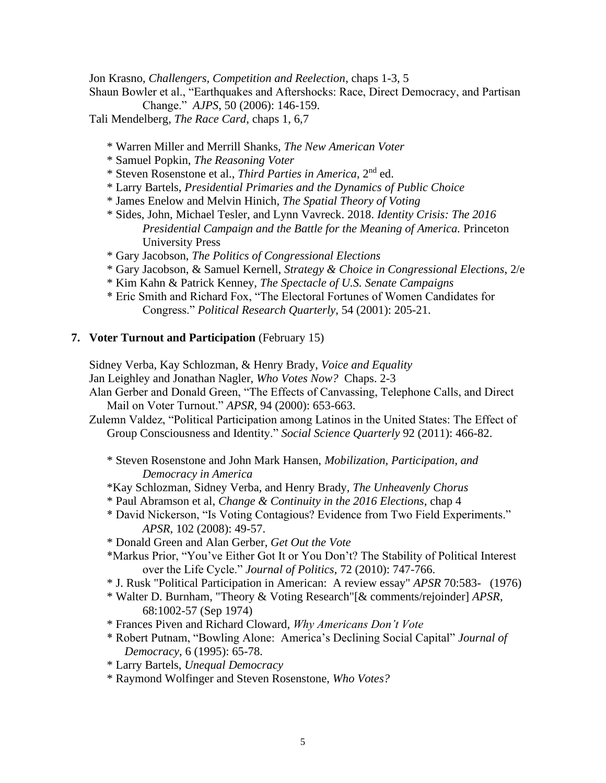Jon Krasno, *Challengers, Competition and Reelection*, chaps 1-3, 5

 Shaun Bowler et al., "Earthquakes and Aftershocks: Race, Direct Democracy, and Partisan Change." *AJPS*, 50 (2006): 146-159.

Tali Mendelberg, *The Race Card*, chaps 1, 6,7

- \* Warren Miller and Merrill Shanks, *The New American Voter*
- \* Samuel Popkin, *The Reasoning Voter*
- \* Steven Rosenstone et al., *Third Parties in America*, 2nd ed.
- \* Larry Bartels, *Presidential Primaries and the Dynamics of Public Choice*
- \* James Enelow and Melvin Hinich, *The Spatial Theory of Voting*
- \* Sides, John, Michael Tesler, and Lynn Vavreck. 2018. *Identity Crisis: The 2016 Presidential Campaign and the Battle for the Meaning of America.* Princeton University Press
- \* Gary Jacobson, *The Politics of Congressional Elections*
- \* Gary Jacobson, & Samuel Kernell, *Strategy & Choice in Congressional Elections*, 2/e
- \* Kim Kahn & Patrick Kenney, *The Spectacle of U.S. Senate Campaigns*
- \* Eric Smith and Richard Fox, "The Electoral Fortunes of Women Candidates for Congress." *Political Research Quarterly*, 54 (2001): 205-21.

### **7. Voter Turnout and Participation** (February 15)

Sidney Verba, Kay Schlozman, & Henry Brady, *Voice and Equality*

- Jan Leighley and Jonathan Nagler, *Who Votes Now?* Chaps. 2-3
- Alan Gerber and Donald Green, "The Effects of Canvassing, Telephone Calls, and Direct Mail on Voter Turnout." *APSR*, 94 (2000): 653-663.
- Zulemn Valdez, "Political Participation among Latinos in the United States: The Effect of Group Consciousness and Identity." *Social Science Quarterly* 92 (2011): 466-82.
	- \* Steven Rosenstone and John Mark Hansen, *Mobilization, Participation, and Democracy in America*
	- \*Kay Schlozman, Sidney Verba, and Henry Brady, *The Unheavenly Chorus*
	- \* Paul Abramson et al, *Change & Continuity in the 2016 Elections*, chap 4
	- \* David Nickerson, "Is Voting Contagious? Evidence from Two Field Experiments." *APSR*, 102 (2008): 49-57.
	- \* Donald Green and Alan Gerber, *Get Out the Vote*
	- \*Markus Prior, "You've Either Got It or You Don't? The Stability of Political Interest over the Life Cycle." *Journal of Politics*, 72 (2010): 747-766.
	- \* J. Rusk "Political Participation in American: A review essay" *APSR* 70:583- (1976)
	- \* Walter D. Burnham, "Theory & Voting Research"[& comments/rejoinder] *APSR*, 68:1002-57 (Sep 1974)
	- \* Frances Piven and Richard Cloward, *Why Americans Don't Vote*
	- \* Robert Putnam, "Bowling Alone: America's Declining Social Capital" *Journal of Democracy*, 6 (1995): 65-78.
	- \* Larry Bartels, *Unequal Democracy*
	- \* Raymond Wolfinger and Steven Rosenstone, *Who Votes?*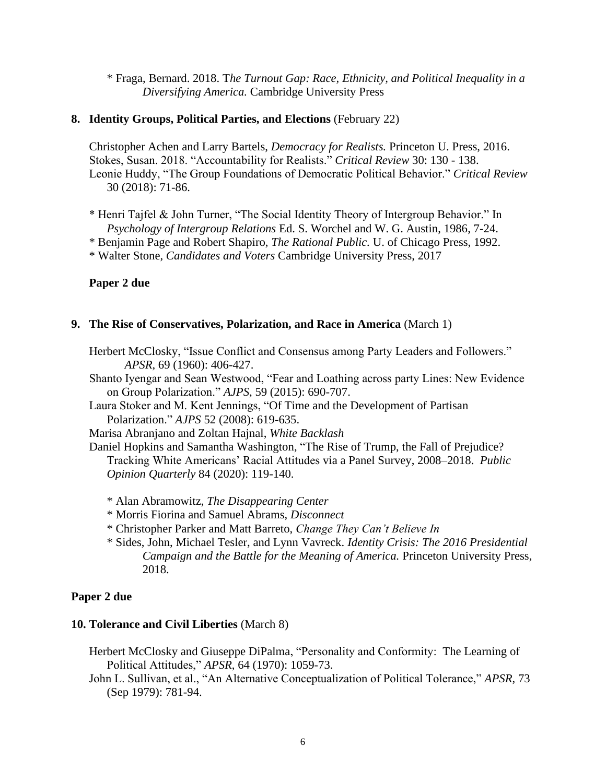\* Fraga, Bernard. 2018. T*he Turnout Gap: Race, Ethnicity, and Political Inequality in a Diversifying America.* Cambridge University Press

### **8. Identity Groups, Political Parties, and Elections** (February 22)

Christopher Achen and Larry Bartels, *Democracy for Realists.* Princeton U. Press, 2016. Stokes, Susan. 2018. "Accountability for Realists." *Critical Review* 30: 130 - 138. Leonie Huddy, "The Group Foundations of Democratic Political Behavior." *Critical Review* 30 (2018): 71-86.

\* Henri Tajfel & John Turner, "The Social Identity Theory of Intergroup Behavior." In *Psychology of Intergroup Relations* Ed. S. Worchel and W. G. Austin, 1986, 7-24.

\* Benjamin Page and Robert Shapiro, *The Rational Public.* U. of Chicago Press, 1992.

\* Walter Stone, *Candidates and Voters* Cambridge University Press, 2017

### **Paper 2 due**

### **9. The Rise of Conservatives, Polarization, and Race in America** (March 1)

Herbert McClosky, "Issue Conflict and Consensus among Party Leaders and Followers." *APSR*, 69 (1960): 406-427.

- Shanto Iyengar and Sean Westwood, "Fear and Loathing across party Lines: New Evidence on Group Polarization." *AJPS*, 59 (2015): 690-707.
- Laura Stoker and M. Kent Jennings, "Of Time and the Development of Partisan Polarization." *AJPS* 52 (2008): 619-635.

Marisa Abranjano and Zoltan Hajnal, *White Backlash*

Daniel Hopkins and Samantha Washington, "The Rise of Trump, the Fall of Prejudice? Tracking White Americans' Racial Attitudes via a Panel Survey, 2008–2018. *Public Opinion Quarterly* 84 (2020): 119-140.

- \* Alan Abramowitz, *The Disappearing Center*
- \* Morris Fiorina and Samuel Abrams, *Disconnect*
- \* Christopher Parker and Matt Barreto, *Change They Can't Believe In*
- \* Sides, John, Michael Tesler, and Lynn Vavreck. *Identity Crisis: The 2016 Presidential Campaign and the Battle for the Meaning of America.* Princeton University Press, 2018.

### **Paper 2 due**

#### **10. Tolerance and Civil Liberties** (March 8)

- Herbert McClosky and Giuseppe DiPalma, "Personality and Conformity: The Learning of Political Attitudes," *APSR*, 64 (1970): 1059-73.
- John L. Sullivan, et al., "An Alternative Conceptualization of Political Tolerance," *APSR*, 73 (Sep 1979): 781-94.